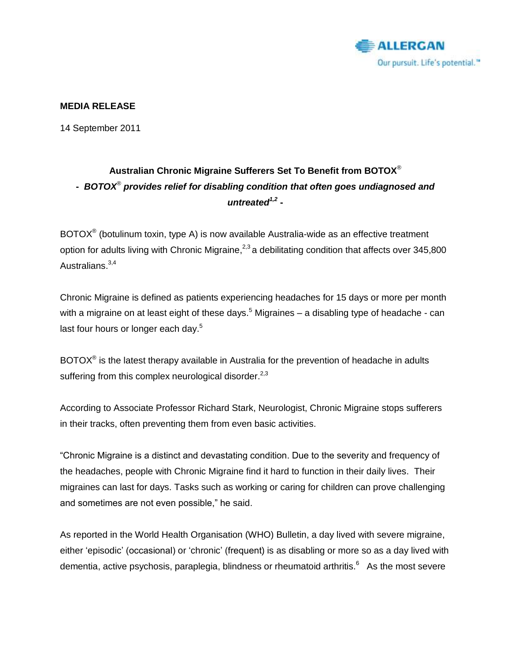

### **MEDIA RELEASE**

14 September 2011

# **Australian Chronic Migraine Sufferers Set To Benefit from BOTOX**® **-** *BOTOX® provides relief for disabling condition that often goes undiagnosed and untreated1,2* **-**

BOTOX<sup>®</sup> (botulinum toxin, type A) is now available Australia-wide as an effective treatment option for adults living with Chronic Migraine,<sup>2,3</sup> a debilitating condition that affects over 345,800 Australians.<sup>3,4</sup>

Chronic Migraine is defined as patients experiencing headaches for 15 days or more per month with a migraine on at least eight of these days.<sup>5</sup> Migraines – a disabling type of headache - can last four hours or longer each day.<sup>5</sup>

BOTOX<sup>®</sup> is the latest therapy available in Australia for the prevention of headache in adults suffering from this complex neurological disorder. $^{2,3}$ 

According to Associate Professor Richard Stark, Neurologist, Chronic Migraine stops sufferers in their tracks, often preventing them from even basic activities.

―Chronic Migraine is a distinct and devastating condition. Due to the severity and frequency of the headaches, people with Chronic Migraine find it hard to function in their daily lives. Their migraines can last for days. Tasks such as working or caring for children can prove challenging and sometimes are not even possible," he said.

As reported in the World Health Organisation (WHO) Bulletin, a day lived with severe migraine, either 'episodic' (occasional) or 'chronic' (frequent) is as disabling or more so as a day lived with dementia, active psychosis, paraplegia, blindness or rheumatoid arthritis.<sup>6</sup> As the most severe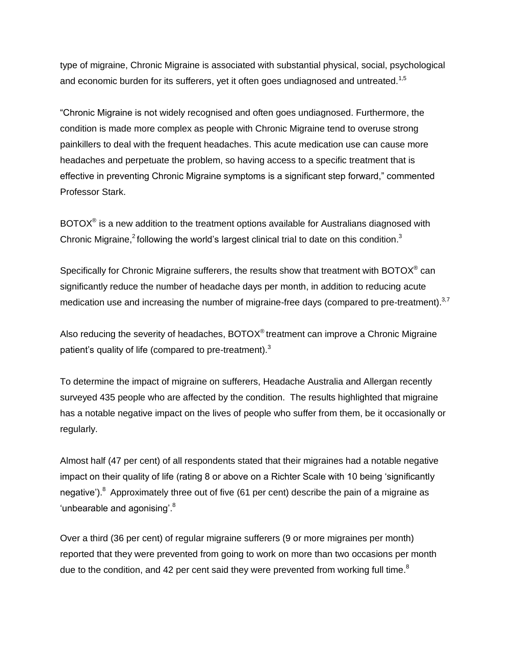type of migraine, Chronic Migraine is associated with substantial physical, social, psychological and economic burden for its sufferers, yet it often goes undiagnosed and untreated.<sup>1,5</sup>

―Chronic Migraine is not widely recognised and often goes undiagnosed. Furthermore, the condition is made more complex as people with Chronic Migraine tend to overuse strong painkillers to deal with the frequent headaches. This acute medication use can cause more headaches and perpetuate the problem, so having access to a specific treatment that is effective in preventing Chronic Migraine symptoms is a significant step forward," commented Professor Stark.

BOTOX<sup>®</sup> is a new addition to the treatment options available for Australians diagnosed with Chronic Migraine,<sup>2</sup> following the world's largest clinical trial to date on this condition.<sup>3</sup>

Specifically for Chronic Migraine sufferers, the results show that treatment with BOTOX<sup>®</sup> can significantly reduce the number of headache days per month, in addition to reducing acute medication use and increasing the number of migraine-free days (compared to pre-treatment).<sup>3,7</sup>

Also reducing the severity of headaches,  $BOTOX^{\circledcirc}$  treatment can improve a Chronic Migraine patient's quality of life (compared to pre-treatment).<sup>3</sup>

To determine the impact of migraine on sufferers, Headache Australia and Allergan recently surveyed 435 people who are affected by the condition. The results highlighted that migraine has a notable negative impact on the lives of people who suffer from them, be it occasionally or regularly.

Almost half (47 per cent) of all respondents stated that their migraines had a notable negative impact on their quality of life (rating 8 or above on a Richter Scale with 10 being 'significantly negative').<sup>8</sup> Approximately three out of five (61 per cent) describe the pain of a migraine as 'unbearable and agonising'. $8$ 

Over a third (36 per cent) of regular migraine sufferers (9 or more migraines per month) reported that they were prevented from going to work on more than two occasions per month due to the condition, and 42 per cent said they were prevented from working full time.<sup>8</sup>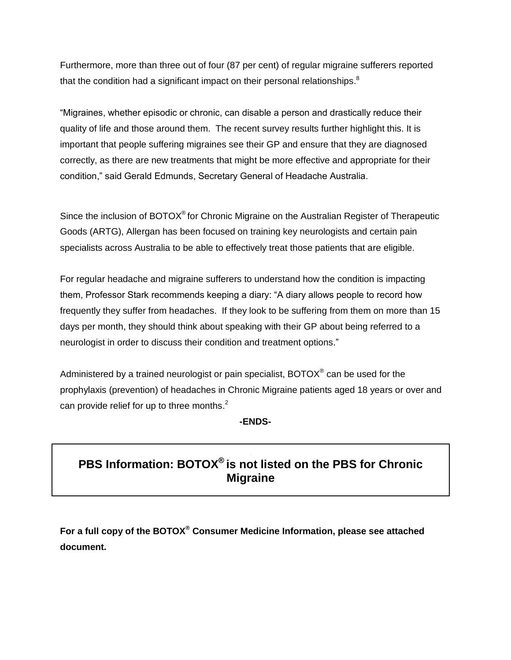Furthermore, more than three out of four (87 per cent) of regular migraine sufferers reported that the condition had a significant impact on their personal relationships. $^8$ 

―Migraines, whether episodic or chronic, can disable a person and drastically reduce their quality of life and those around them. The recent survey results further highlight this. It is important that people suffering migraines see their GP and ensure that they are diagnosed correctly, as there are new treatments that might be more effective and appropriate for their condition," said Gerald Edmunds, Secretary General of Headache Australia.

Since the inclusion of BOTOX<sup>®</sup> for Chronic Migraine on the Australian Register of Therapeutic Goods (ARTG), Allergan has been focused on training key neurologists and certain pain specialists across Australia to be able to effectively treat those patients that are eligible.

For regular headache and migraine sufferers to understand how the condition is impacting them, Professor Stark recommends keeping a diary: "A diary allows people to record how frequently they suffer from headaches. If they look to be suffering from them on more than 15 days per month, they should think about speaking with their GP about being referred to a neurologist in order to discuss their condition and treatment options."

Administered by a trained neurologist or pain specialist, BOTOX® can be used for the prophylaxis (prevention) of headaches in Chronic Migraine patients aged 18 years or over and can provide relief for up to three months.<sup>2</sup>

**-ENDS-**

# **PBS Information: BOTOX® is not listed on the PBS for Chronic Migraine**

**For a full copy of the BOTOX® Consumer Medicine Information, please see attached document.**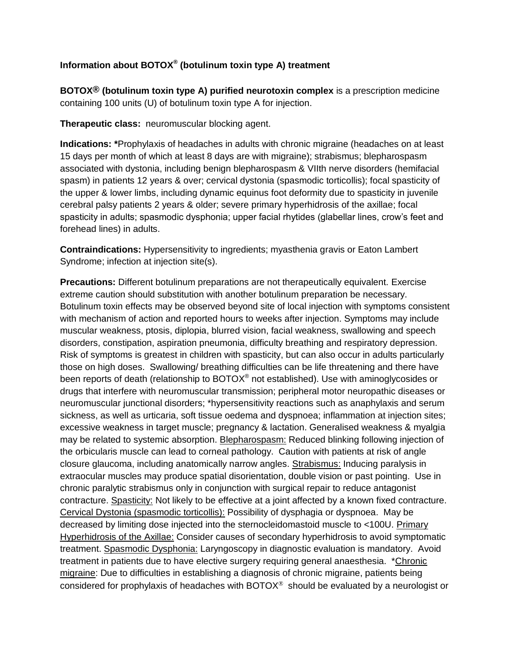## **Information about BOTOX® (botulinum toxin type A) treatment**

**BOTOX® (botulinum toxin type A) purified neurotoxin complex** is a prescription medicine containing 100 units (U) of botulinum toxin type A for injection.

**Therapeutic class:** neuromuscular blocking agent.

**Indications: \***Prophylaxis of headaches in adults with chronic migraine (headaches on at least 15 days per month of which at least 8 days are with migraine); strabismus; blepharospasm associated with dystonia, including benign blepharospasm & VIIth nerve disorders (hemifacial spasm) in patients 12 years & over; cervical dystonia (spasmodic torticollis); focal spasticity of the upper & lower limbs, including dynamic equinus foot deformity due to spasticity in juvenile cerebral palsy patients 2 years & older; severe primary hyperhidrosis of the axillae; focal spasticity in adults; spasmodic dysphonia; upper facial rhytides (glabellar lines, crow's feet and forehead lines) in adults.

**Contraindications:** Hypersensitivity to ingredients; myasthenia gravis or Eaton Lambert Syndrome; infection at injection site(s).

**Precautions:** Different botulinum preparations are not therapeutically equivalent. Exercise extreme caution should substitution with another botulinum preparation be necessary. Botulinum toxin effects may be observed beyond site of local injection with symptoms consistent with mechanism of action and reported hours to weeks after injection. Symptoms may include muscular weakness, ptosis, diplopia, blurred vision, facial weakness, swallowing and speech disorders, constipation, aspiration pneumonia, difficulty breathing and respiratory depression. Risk of symptoms is greatest in children with spasticity, but can also occur in adults particularly those on high doses. Swallowing/ breathing difficulties can be life threatening and there have been reports of death (relationship to BOTOX $^{\circ}$  not established). Use with aminoglycosides or drugs that interfere with neuromuscular transmission; peripheral motor neuropathic diseases or neuromuscular junctional disorders; \*hypersensitivity reactions such as anaphylaxis and serum sickness, as well as urticaria, soft tissue oedema and dyspnoea; inflammation at injection sites; excessive weakness in target muscle; pregnancy & lactation. Generalised weakness & myalgia may be related to systemic absorption. Blepharospasm: Reduced blinking following injection of the orbicularis muscle can lead to corneal pathology. Caution with patients at risk of angle closure glaucoma, including anatomically narrow angles. Strabismus: Inducing paralysis in extraocular muscles may produce spatial disorientation, double vision or past pointing. Use in chronic paralytic strabismus only in conjunction with surgical repair to reduce antagonist contracture. Spasticity: Not likely to be effective at a joint affected by a known fixed contracture. Cervical Dystonia (spasmodic torticollis): Possibility of dysphagia or dyspnoea. May be decreased by limiting dose injected into the sternocleidomastoid muscle to <100U. Primary Hyperhidrosis of the Axillae: Consider causes of secondary hyperhidrosis to avoid symptomatic treatment. Spasmodic Dysphonia: Laryngoscopy in diagnostic evaluation is mandatory. Avoid treatment in patients due to have elective surgery requiring general anaesthesia. \*Chronic migraine: Due to difficulties in establishing a diagnosis of chronic migraine, patients being considered for prophylaxis of headaches with BOTO $X^{\circ}$  should be evaluated by a neurologist or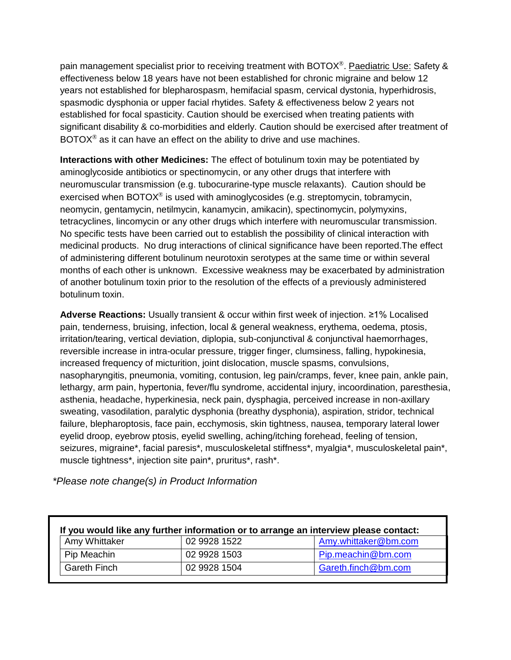pain management specialist prior to receiving treatment with BOTOX<sup>®</sup>. Paediatric Use: Safety & effectiveness below 18 years have not been established for chronic migraine and below 12 years not established for blepharospasm, hemifacial spasm, cervical dystonia, hyperhidrosis, spasmodic dysphonia or upper facial rhytides. Safety & effectiveness below 2 years not established for focal spasticity. Caution should be exercised when treating patients with significant disability & co-morbidities and elderly. Caution should be exercised after treatment of  $BOTOX<sup>®</sup>$  as it can have an effect on the ability to drive and use machines.

**Interactions with other Medicines:** The effect of botulinum toxin may be potentiated by aminoglycoside antibiotics or spectinomycin, or any other drugs that interfere with neuromuscular transmission (e.g. tubocurarine-type muscle relaxants). Caution should be exercised when BOTOX $\textdegree$  is used with aminoglycosides (e.g. streptomycin, tobramycin, neomycin, gentamycin, netilmycin, kanamycin, amikacin), spectinomycin, polymyxins, tetracyclines, lincomycin or any other drugs which interfere with neuromuscular transmission. No specific tests have been carried out to establish the possibility of clinical interaction with medicinal products. No drug interactions of clinical significance have been reported.The effect of administering different botulinum neurotoxin serotypes at the same time or within several months of each other is unknown. Excessive weakness may be exacerbated by administration of another botulinum toxin prior to the resolution of the effects of a previously administered botulinum toxin.

**Adverse Reactions:** Usually transient & occur within first week of injection. ≥1% Localised pain, tenderness, bruising, infection, local & general weakness, erythema, oedema, ptosis, irritation/tearing, vertical deviation, diplopia, sub-conjunctival & conjunctival haemorrhages, reversible increase in intra-ocular pressure, trigger finger, clumsiness, falling, hypokinesia, increased frequency of micturition, joint dislocation, muscle spasms, convulsions, nasopharyngitis, pneumonia, vomiting, contusion, leg pain/cramps, fever, knee pain, ankle pain, lethargy, arm pain, hypertonia, fever/flu syndrome, accidental injury, incoordination, paresthesia, asthenia, headache, hyperkinesia, neck pain, dysphagia, perceived increase in non-axillary sweating, vasodilation, paralytic dysphonia (breathy dysphonia), aspiration, stridor, technical failure, blepharoptosis, face pain, ecchymosis, skin tightness, nausea, temporary lateral lower eyelid droop, eyebrow ptosis, eyelid swelling, aching/itching forehead, feeling of tension, seizures, migraine\*, facial paresis\*, musculoskeletal stiffness\*, myalgia\*, musculoskeletal pain\*, muscle tightness\*, injection site pain\*, pruritus\*, rash\*.

*\*Please note change(s) in Product Information*

| If you would like any further information or to arrange an interview please contact: |              |                      |
|--------------------------------------------------------------------------------------|--------------|----------------------|
| Amy Whittaker                                                                        | 02 9928 1522 | Amy.whittaker@bm.com |
| Pip Meachin                                                                          | 02 9928 1503 | Pip.meachin@bm.com   |
| <b>Gareth Finch</b>                                                                  | 02 9928 1504 | Gareth.finch@bm.com  |